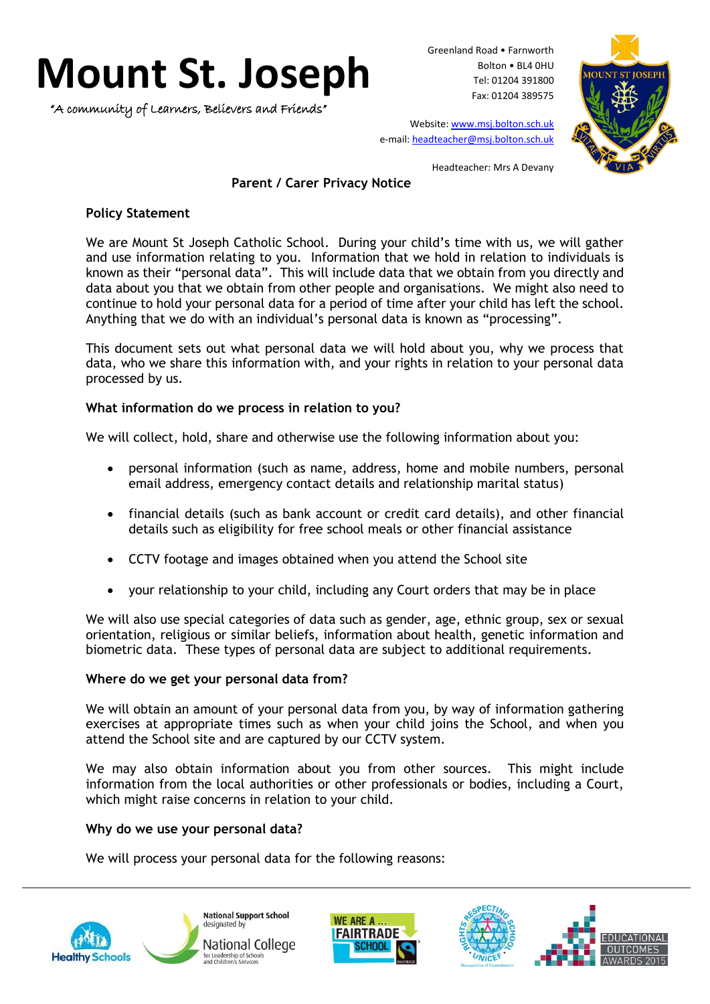# **Mount St. Joseph**

"A community of Learners, Believers and Friends"

Greenland Road • Farnworth Bolton • BL4 0HU Tel: 01204 391800 Fax: 01204 389575



Website[: www.msj.bolton.sch.uk](http://www.msj.bolton.sch.uk/) e-mail: [headteacher@msj.bolton.sch.uk](mailto:headteacher@msj.bolton.sch.uk)

Headteacher: Mrs A Devany

# **Parent / Carer Privacy Notice**

## **Policy Statement**

We are Mount St Joseph Catholic School. During your child's time with us, we will gather and use information relating to you. Information that we hold in relation to individuals is known as their "personal data". This will include data that we obtain from you directly and data about you that we obtain from other people and organisations. We might also need to continue to hold your personal data for a period of time after your child has left the school. Anything that we do with an individual's personal data is known as "processing".

This document sets out what personal data we will hold about you, why we process that data, who we share this information with, and your rights in relation to your personal data processed by us.

## **What information do we process in relation to you?**

We will collect, hold, share and otherwise use the following information about you:

- personal information (such as name, address, home and mobile numbers, personal email address, emergency contact details and relationship marital status)
- financial details (such as bank account or credit card details), and other financial details such as eligibility for free school meals or other financial assistance
- CCTV footage and images obtained when you attend the School site
- your relationship to your child, including any Court orders that may be in place

We will also use special categories of data such as gender, age, ethnic group, sex or sexual orientation, religious or similar beliefs, information about health, genetic information and biometric data. These types of personal data are subject to additional requirements.

## **Where do we get your personal data from?**

We will obtain an amount of your personal data from you, by way of information gathering exercises at appropriate times such as when your child joins the School, and when you attend the School site and are captured by our CCTV system.

We may also obtain information about you from other sources. This might include information from the local authorities or other professionals or bodies, including a Court, which might raise concerns in relation to your child.

## **Why do we use your personal data?**

We will process your personal data for the following reasons:









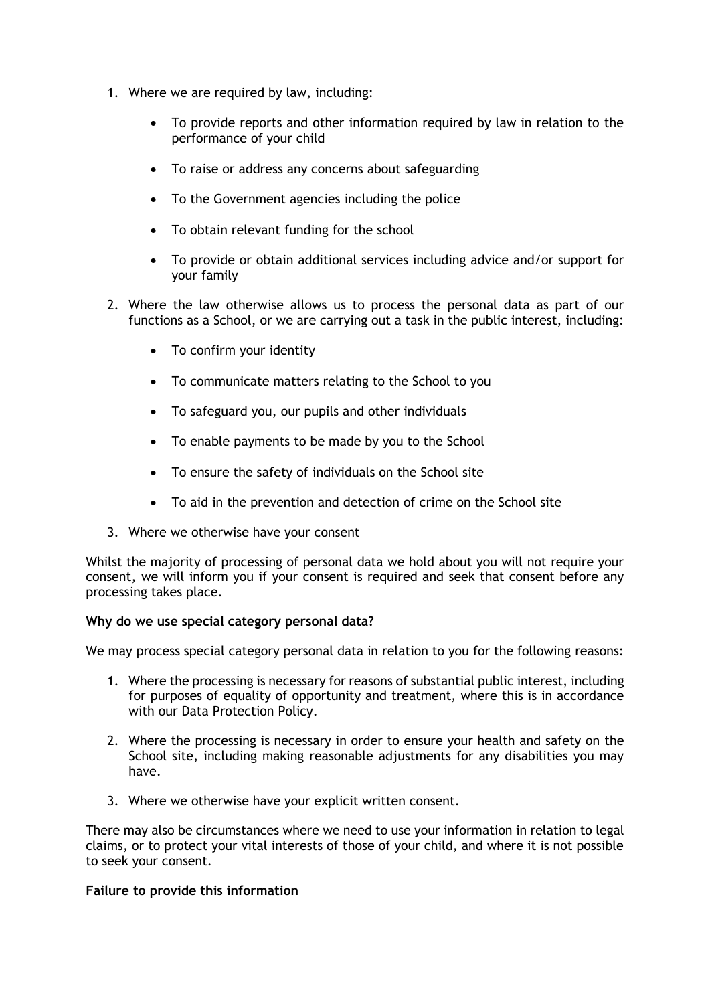- 1. Where we are required by law, including:
	- To provide reports and other information required by law in relation to the performance of your child
	- To raise or address any concerns about safeguarding
	- To the Government agencies including the police
	- To obtain relevant funding for the school
	- To provide or obtain additional services including advice and/or support for your family
- 2. Where the law otherwise allows us to process the personal data as part of our functions as a School, or we are carrying out a task in the public interest, including:
	- To confirm your identity
	- To communicate matters relating to the School to you
	- To safeguard you, our pupils and other individuals
	- To enable payments to be made by you to the School
	- To ensure the safety of individuals on the School site
	- To aid in the prevention and detection of crime on the School site
- 3. Where we otherwise have your consent

Whilst the majority of processing of personal data we hold about you will not require your consent, we will inform you if your consent is required and seek that consent before any processing takes place.

## **Why do we use special category personal data?**

We may process special category personal data in relation to you for the following reasons:

- 1. Where the processing is necessary for reasons of substantial public interest, including for purposes of equality of opportunity and treatment, where this is in accordance with our Data Protection Policy.
- 2. Where the processing is necessary in order to ensure your health and safety on the School site, including making reasonable adjustments for any disabilities you may have.
- 3. Where we otherwise have your explicit written consent.

There may also be circumstances where we need to use your information in relation to legal claims, or to protect your vital interests of those of your child, and where it is not possible to seek your consent.

#### **Failure to provide this information**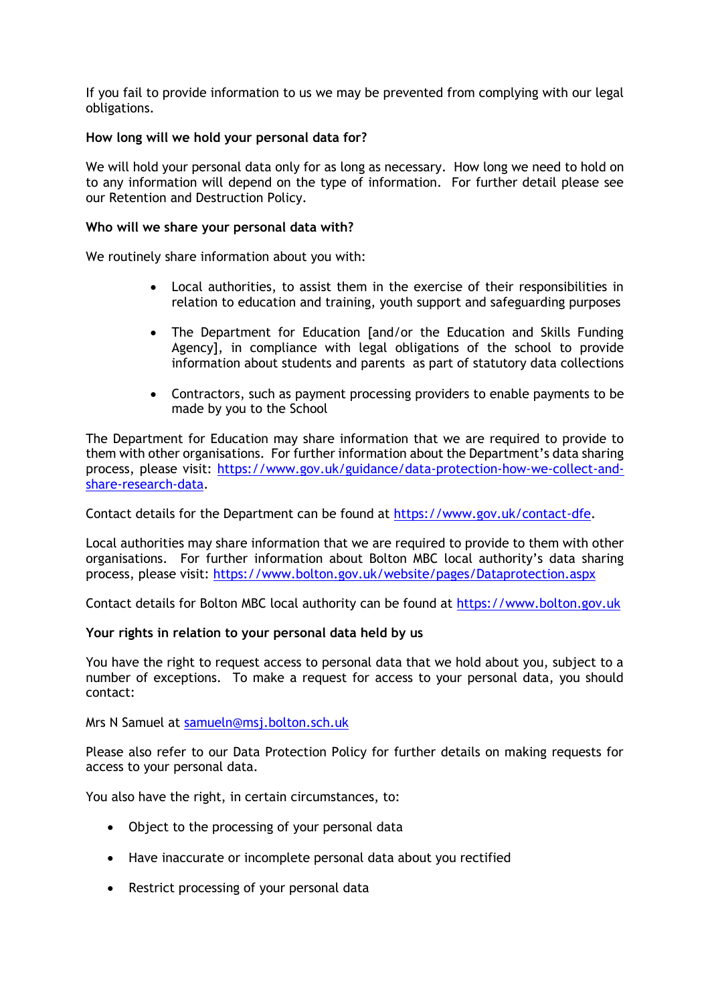If you fail to provide information to us we may be prevented from complying with our legal obligations.

## **How long will we hold your personal data for?**

We will hold your personal data only for as long as necessary. How long we need to hold on to any information will depend on the type of information. For further detail please see our Retention and Destruction Policy.

#### **Who will we share your personal data with?**

We routinely share information about you with:

- Local authorities, to assist them in the exercise of their responsibilities in relation to education and training, youth support and safeguarding purposes
- The Department for Education [and/or the Education and Skills Funding Agency], in compliance with legal obligations of the school to provide information about students and parents as part of statutory data collections
- Contractors, such as payment processing providers to enable payments to be made by you to the School

The Department for Education may share information that we are required to provide to them with other organisations. For further information about the Department's data sharing process, please visit: [https://www.gov.uk/guidance/data-protection-how-we-collect-and](https://www.gov.uk/guidance/data-protection-how-we-collect-and-share-research-data)[share-research-data.](https://www.gov.uk/guidance/data-protection-how-we-collect-and-share-research-data)

Contact details for the Department can be found at [https://www.gov.uk/contact-dfe.](https://www.gov.uk/contact-dfe)

Local authorities may share information that we are required to provide to them with other organisations. For further information about Bolton MBC local authority's data sharing process, please visit:<https://www.bolton.gov.uk/website/pages/Dataprotection.aspx>

Contact details for Bolton MBC local authority can be found at [https://www.bolton.gov.uk](https://www.bolton.gov.uk/)

#### **Your rights in relation to your personal data held by us**

You have the right to request access to personal data that we hold about you, subject to a number of exceptions. To make a request for access to your personal data, you should contact:

Mrs N Samuel at [samueln@msj.bolton.sch.uk](mailto:samueln@msj.bolton.sch.uk)

Please also refer to our Data Protection Policy for further details on making requests for access to your personal data.

You also have the right, in certain circumstances, to:

- Object to the processing of your personal data
- Have inaccurate or incomplete personal data about you rectified
- Restrict processing of your personal data